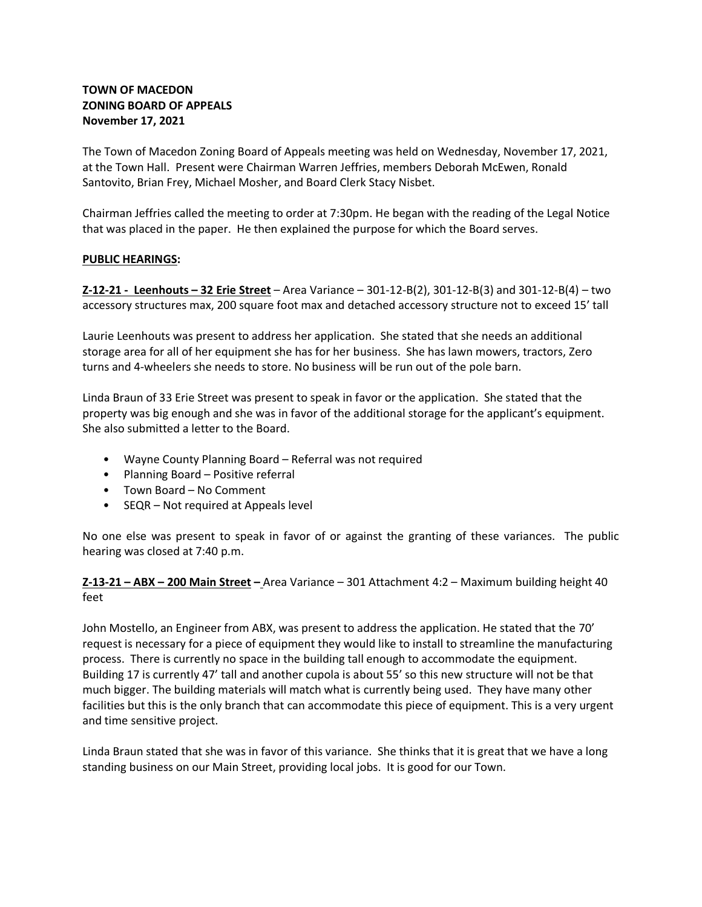# **TOWN OF MACEDON ZONING BOARD OF APPEALS November 17, 2021**

The Town of Macedon Zoning Board of Appeals meeting was held on Wednesday, November 17, 2021, at the Town Hall. Present were Chairman Warren Jeffries, members Deborah McEwen, Ronald Santovito, Brian Frey, Michael Mosher, and Board Clerk Stacy Nisbet.

Chairman Jeffries called the meeting to order at 7:30pm. He began with the reading of the Legal Notice that was placed in the paper. He then explained the purpose for which the Board serves.

## **PUBLIC HEARINGS:**

**Z-12-21 - Leenhouts – 32 Erie Street** – Area Variance – 301-12-B(2), 301-12-B(3) and 301-12-B(4) – two accessory structures max, 200 square foot max and detached accessory structure not to exceed 15' tall

Laurie Leenhouts was present to address her application. She stated that she needs an additional storage area for all of her equipment she has for her business. She has lawn mowers, tractors, Zero turns and 4-wheelers she needs to store. No business will be run out of the pole barn.

Linda Braun of 33 Erie Street was present to speak in favor or the application. She stated that the property was big enough and she was in favor of the additional storage for the applicant's equipment. She also submitted a letter to the Board.

- Wayne County Planning Board Referral was not required
- Planning Board Positive referral
- Town Board No Comment
- SEQR Not required at Appeals level

No one else was present to speak in favor of or against the granting of these variances. The public hearing was closed at 7:40 p.m.

## **Z-13-21 – ABX – 200 Main Street –** Area Variance – 301 Attachment 4:2 – Maximum building height 40 feet

John Mostello, an Engineer from ABX, was present to address the application. He stated that the 70' request is necessary for a piece of equipment they would like to install to streamline the manufacturing process. There is currently no space in the building tall enough to accommodate the equipment. Building 17 is currently 47' tall and another cupola is about 55' so this new structure will not be that much bigger. The building materials will match what is currently being used. They have many other facilities but this is the only branch that can accommodate this piece of equipment. This is a very urgent and time sensitive project.

Linda Braun stated that she was in favor of this variance. She thinks that it is great that we have a long standing business on our Main Street, providing local jobs. It is good for our Town.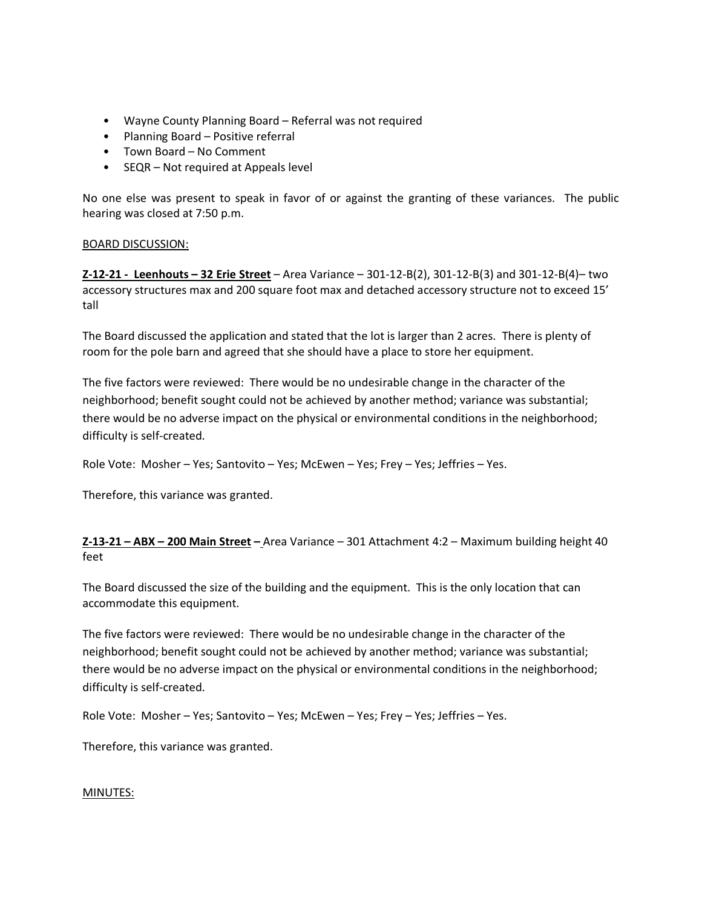- Wayne County Planning Board Referral was not required
- Planning Board Positive referral
- Town Board No Comment
- SEQR Not required at Appeals level

No one else was present to speak in favor of or against the granting of these variances. The public hearing was closed at 7:50 p.m.

## BOARD DISCUSSION:

**Z-12-21 - Leenhouts – 32 Erie Street** – Area Variance – 301-12-B(2), 301-12-B(3) and 301-12-B(4)– two accessory structures max and 200 square foot max and detached accessory structure not to exceed 15' tall

The Board discussed the application and stated that the lot is larger than 2 acres. There is plenty of room for the pole barn and agreed that she should have a place to store her equipment.

The five factors were reviewed: There would be no undesirable change in the character of the neighborhood; benefit sought could not be achieved by another method; variance was substantial; there would be no adverse impact on the physical or environmental conditions in the neighborhood; difficulty is self-created.

Role Vote: Mosher – Yes; Santovito – Yes; McEwen – Yes; Frey – Yes; Jeffries – Yes.

Therefore, this variance was granted.

**Z-13-21 – ABX – 200 Main Street –** Area Variance – 301 Attachment 4:2 – Maximum building height 40 feet

The Board discussed the size of the building and the equipment. This is the only location that can accommodate this equipment.

The five factors were reviewed: There would be no undesirable change in the character of the neighborhood; benefit sought could not be achieved by another method; variance was substantial; there would be no adverse impact on the physical or environmental conditions in the neighborhood; difficulty is self-created.

Role Vote: Mosher – Yes; Santovito – Yes; McEwen – Yes; Frey – Yes; Jeffries – Yes.

Therefore, this variance was granted.

#### MINUTES: